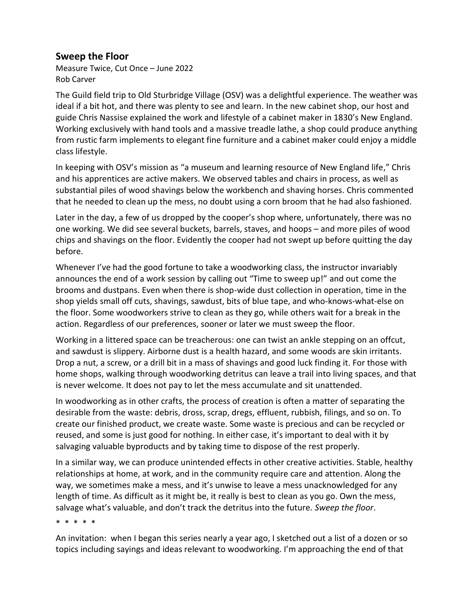## **Sweep the Floor**

Measure Twice, Cut Once – June 2022 Rob Carver

The Guild field trip to Old Sturbridge Village (OSV) was a delightful experience. The weather was ideal if a bit hot, and there was plenty to see and learn. In the new cabinet shop, our host and guide Chris Nassise explained the work and lifestyle of a cabinet maker in 1830's New England. Working exclusively with hand tools and a massive treadle lathe, a shop could produce anything from rustic farm implements to elegant fine furniture and a cabinet maker could enjoy a middle class lifestyle.

In keeping with OSV's mission as "a museum and learning resource of New England life," Chris and his apprentices are active makers. We observed tables and chairs in process, as well as substantial piles of wood shavings below the workbench and shaving horses. Chris commented that he needed to clean up the mess, no doubt using a corn broom that he had also fashioned.

Later in the day, a few of us dropped by the cooper's shop where, unfortunately, there was no one working. We did see several buckets, barrels, staves, and hoops – and more piles of wood chips and shavings on the floor. Evidently the cooper had not swept up before quitting the day before.

Whenever I've had the good fortune to take a woodworking class, the instructor invariably announces the end of a work session by calling out "Time to sweep up!" and out come the brooms and dustpans. Even when there is shop-wide dust collection in operation, time in the shop yields small off cuts, shavings, sawdust, bits of blue tape, and who-knows-what-else on the floor. Some woodworkers strive to clean as they go, while others wait for a break in the action. Regardless of our preferences, sooner or later we must sweep the floor.

Working in a littered space can be treacherous: one can twist an ankle stepping on an offcut, and sawdust is slippery. Airborne dust is a health hazard, and some woods are skin irritants. Drop a nut, a screw, or a drill bit in a mass of shavings and good luck finding it. For those with home shops, walking through woodworking detritus can leave a trail into living spaces, and that is never welcome. It does not pay to let the mess accumulate and sit unattended.

In woodworking as in other crafts, the process of creation is often a matter of separating the desirable from the waste: debris, dross, scrap, dregs, effluent, rubbish, filings, and so on. To create our finished product, we create waste. Some waste is precious and can be recycled or reused, and some is just good for nothing. In either case, it's important to deal with it by salvaging valuable byproducts and by taking time to dispose of the rest properly.

In a similar way, we can produce unintended effects in other creative activities. Stable, healthy relationships at home, at work, and in the community require care and attention. Along the way, we sometimes make a mess, and it's unwise to leave a mess unacknowledged for any length of time. As difficult as it might be, it really is best to clean as you go. Own the mess, salvage what's valuable, and don't track the detritus into the future. *Sweep the floor*.

\* \* \* \* \*

An invitation: when I began this series nearly a year ago, I sketched out a list of a dozen or so topics including sayings and ideas relevant to woodworking. I'm approaching the end of that